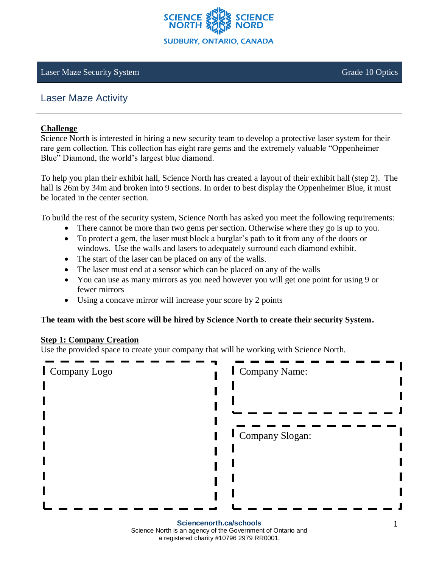

#### Laser Maze Security System Grade 10 Optics

# Laser Maze Activity

#### **Challenge**

Science North is interested in hiring a new security team to develop a protective laser system for their rare gem collection. This collection has eight rare gems and the extremely valuable "Oppenheimer Blue" Diamond, the world's largest blue diamond.

To help you plan their exhibit hall, Science North has created a layout of their exhibit hall (step 2). The hall is 26m by 34m and broken into 9 sections. In order to best display the Oppenheimer Blue, it must be located in the center section.

To build the rest of the security system, Science North has asked you meet the following requirements:

- There cannot be more than two gems per section. Otherwise where they go is up to you.
- To protect a gem, the laser must block a burglar's path to it from any of the doors or windows. Use the walls and lasers to adequately surround each diamond exhibit.
- The start of the laser can be placed on any of the walls.
- The laser must end at a sensor which can be placed on any of the walls
- You can use as many mirrors as you need however you will get one point for using 9 or fewer mirrors
- Using a concave mirror will increase your score by 2 points

#### **The team with the best score will be hired by Science North to create their security System.**

#### **Step 1: Company Creation**

Use the provided space to create your company that will be working with Science North.

| Company Logo            | Company Name:   |
|-------------------------|-----------------|
|                         |                 |
|                         |                 |
|                         | Company Slogan: |
|                         |                 |
|                         |                 |
|                         |                 |
|                         |                 |
| Sciencenorth.ca/schools |                 |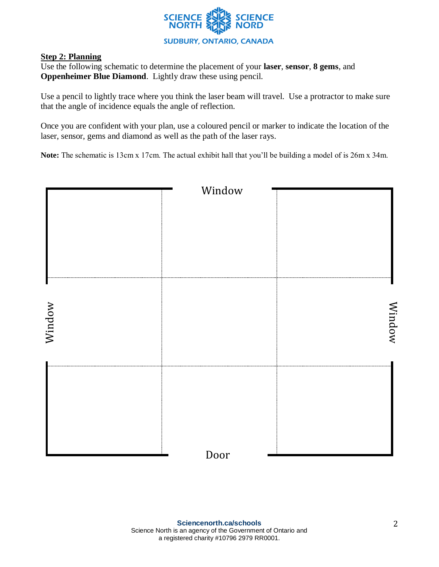

### **Step 2: Planning**

Use the following schematic to determine the placement of your **laser**, **sensor**, **8 gems**, and **Oppenheimer Blue Diamond**. Lightly draw these using pencil.

Use a pencil to lightly trace where you think the laser beam will travel. Use a protractor to make sure that the angle of incidence equals the angle of reflection.

Once you are confident with your plan, use a coloured pencil or marker to indicate the location of the laser, sensor, gems and diamond as well as the path of the laser rays.

**Note:** The schematic is 13cm x 17cm. The actual exhibit hall that you'll be building a model of is 26m x 34m.